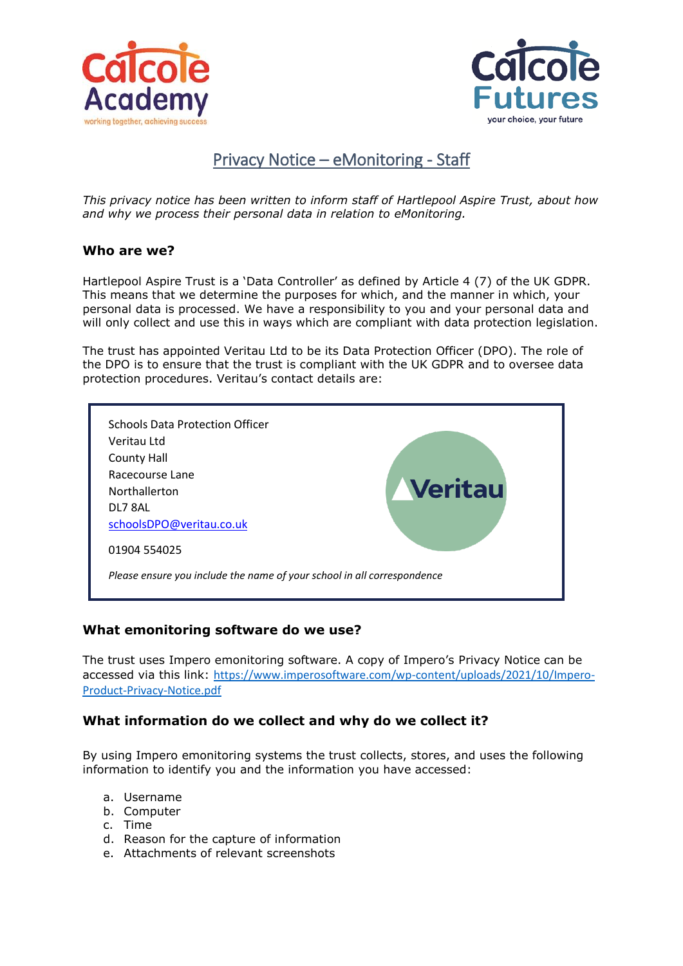



# Privacy Notice – eMonitoring - Staff

*This privacy notice has been written to inform staff of Hartlepool Aspire Trust, about how and why we process their personal data in relation to eMonitoring.*

# **Who are we?**

Hartlepool Aspire Trust is a 'Data Controller' as defined by Article 4 (7) of the UK GDPR. This means that we determine the purposes for which, and the manner in which, your personal data is processed. We have a responsibility to you and your personal data and will only collect and use this in ways which are compliant with data protection legislation.

The trust has appointed Veritau Ltd to be its Data Protection Officer (DPO). The role of the DPO is to ensure that the trust is compliant with the UK GDPR and to oversee data protection procedures. Veritau's contact details are:



# **What emonitoring software do we use?**

The trust uses Impero emonitoring software. A copy of Impero's Privacy Notice can be accessed via this link: [https://www.imperosoftware.com/wp-content/uploads/2021/10/Impero-](https://www.imperosoftware.com/wp-content/uploads/2021/10/Impero-Product-Privacy-Notice.pdf)[Product-Privacy-Notice.pdf](https://www.imperosoftware.com/wp-content/uploads/2021/10/Impero-Product-Privacy-Notice.pdf)

# **What information do we collect and why do we collect it?**

By using Impero emonitoring systems the trust collects, stores, and uses the following information to identify you and the information you have accessed:

- a. Username
- b. Computer
- c. Time
- d. Reason for the capture of information
- e. Attachments of relevant screenshots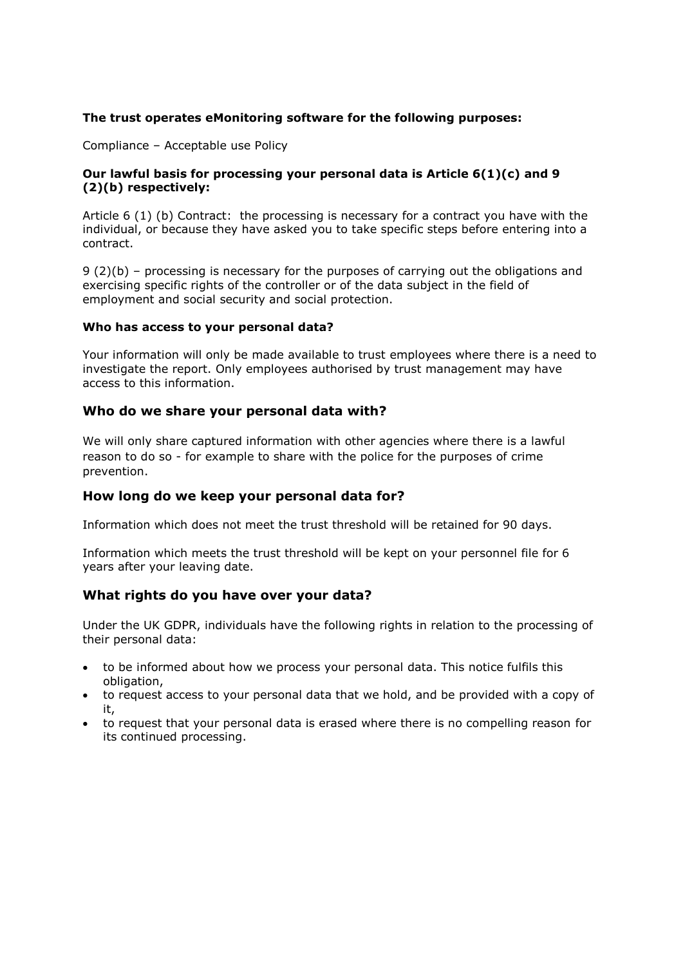### **The trust operates eMonitoring software for the following purposes:**

Compliance – Acceptable use Policy

#### **Our lawful basis for processing your personal data is Article 6(1)(c) and 9 (2)(b) respectively:**

Article 6 (1) (b) Contract: the processing is necessary for a contract you have with the individual, or because they have asked you to take specific steps before entering into a contract.

9 (2)(b) – processing is necessary for the purposes of carrying out the obligations and exercising specific rights of the controller or of the data subject in the field of employment and social security and social protection.

#### **Who has access to your personal data?**

Your information will only be made available to trust employees where there is a need to investigate the report. Only employees authorised by trust management may have access to this information.

#### **Who do we share your personal data with?**

We will only share captured information with other agencies where there is a lawful reason to do so - for example to share with the police for the purposes of crime prevention.

# **How long do we keep your personal data for?**

Information which does not meet the trust threshold will be retained for 90 days.

Information which meets the trust threshold will be kept on your personnel file for 6 years after your leaving date.

# **What rights do you have over your data?**

Under the UK GDPR, individuals have the following rights in relation to the processing of their personal data:

- to be informed about how we process your personal data. This notice fulfils this obligation,
- to request access to your personal data that we hold, and be provided with a copy of it,
- to request that your personal data is erased where there is no compelling reason for its continued processing.